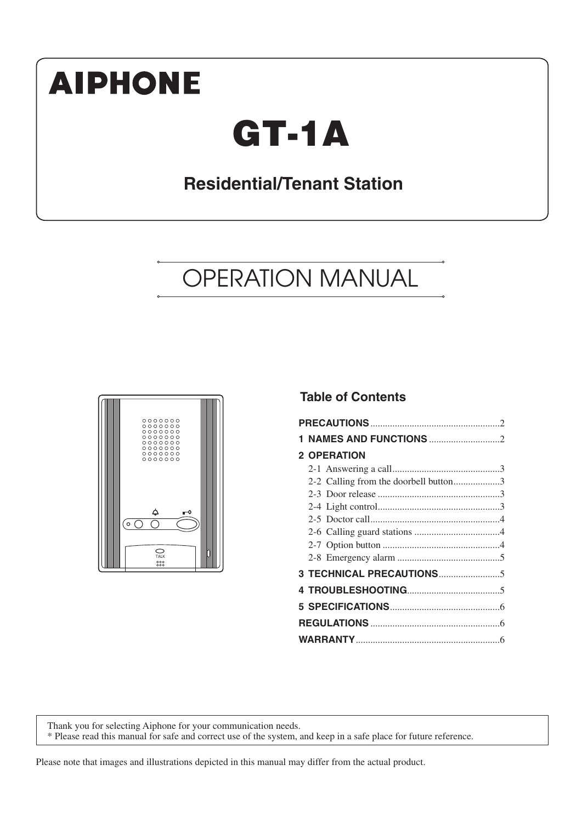# **AIPHONE**

# **GT-1A**

# **Residential/Tenant Station**

# OPERATION MANUAL



#### **Table of Contents**

| <b>2 OPERATION</b>                    |  |
|---------------------------------------|--|
|                                       |  |
| 2-2 Calling from the doorbell button3 |  |
|                                       |  |
|                                       |  |
|                                       |  |
|                                       |  |
|                                       |  |
|                                       |  |
|                                       |  |
|                                       |  |
|                                       |  |
|                                       |  |
|                                       |  |

Thank you for selecting Aiphone for your communication needs. \* Please read this manual for safe and correct use of the system, and keep in a safe place for future reference.

Please note that images and illustrations depicted in this manual may differ from the actual product.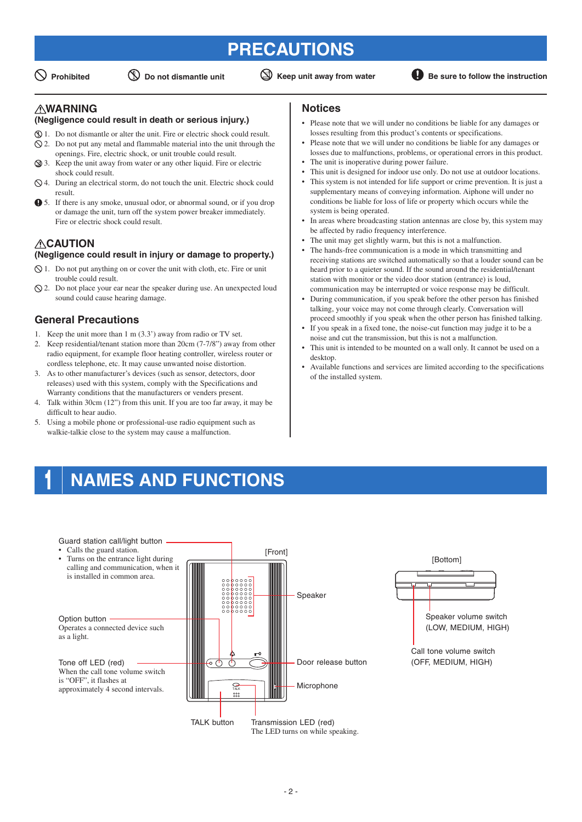## **PRECAUTIONS**

 $\mathbb O$  Prohibited  $\mathbb O$  Do not dismantle unit  $\mathbb O$  Keep unit away from water **B** Be sure to follow the instruction

#### **WARNING**

#### **(Negligence could result in death or serious injury.)**

- 1. Do not dismantle or alter the unit. Fire or electric shock could result.
- $\Diamond$  2. Do not put any metal and flammable material into the unit through the openings. Fire, electric shock, or unit trouble could result.
- 3. Keep the unit away from water or any other liquid. Fire or electric shock could result.
- $\Diamond$  4. During an electrical storm, do not touch the unit. Electric shock could result.
- 5. If there is any smoke, unusual odor, or abnormal sound, or if you drop or damage the unit, turn off the system power breaker immediately. Fire or electric shock could result.

#### **CAUTION (Negligence could result in injury or damage to property.)**

- $\Diamond$  1. Do not put anything on or cover the unit with cloth, etc. Fire or unit trouble could result.
- $\Omega$ . Do not place your ear near the speaker during use. An unexpected loud sound could cause hearing damage.

#### **General Precautions**

- 1. Keep the unit more than 1 m (3.3') away from radio or TV set.
- 2. Keep residential/tenant station more than 20cm (7-7/8") away from other radio equipment, for example floor heating controller, wireless router or cordless telephone, etc. It may cause unwanted noise distortion.
- 3. As to other manufacturer's devices (such as sensor, detectors, door releases) used with this system, comply with the Specifications and Warranty conditions that the manufacturers or venders present.
- 4. Talk within 30cm (12") from this unit. If you are too far away, it may be difficult to hear audio.
- 5. Using a mobile phone or professional-use radio equipment such as walkie-talkie close to the system may cause a malfunction.

#### **Notices**

- Please note that we will under no conditions be liable for any damages or losses resulting from this product's contents or specifications.
- Please note that we will under no conditions be liable for any damages or losses due to malfunctions, problems, or operational errors in this product.
- The unit is inoperative during power failure.
- This unit is designed for indoor use only. Do not use at outdoor locations. This system is not intended for life support or crime prevention. It is just a supplementary means of conveying information. Aiphone will under no conditions be liable for loss of life or property which occurs while the system is being operated.
- In areas where broadcasting station antennas are close by, this system may be affected by radio frequency interference.
- The unit may get slightly warm, but this is not a malfunction.
- The hands-free communication is a mode in which transmitting and receiving stations are switched automatically so that a louder sound can be heard prior to a quieter sound. If the sound around the residential/tenant station with monitor or the video door station (entrance) is loud, communication may be interrupted or voice response may be difficult.
- During communication, if you speak before the other person has finished talking, your voice may not come through clearly. Conversation will proceed smoothly if you speak when the other person has finished talking.
- If you speak in a fixed tone, the noise-cut function may judge it to be a noise and cut the transmission, but this is not a malfunction.
- This unit is intended to be mounted on a wall only. It cannot be used on a desktop.
- Available functions and services are limited according to the specifications of the installed system.

## **1 NAMES AND FUNCTIONS**

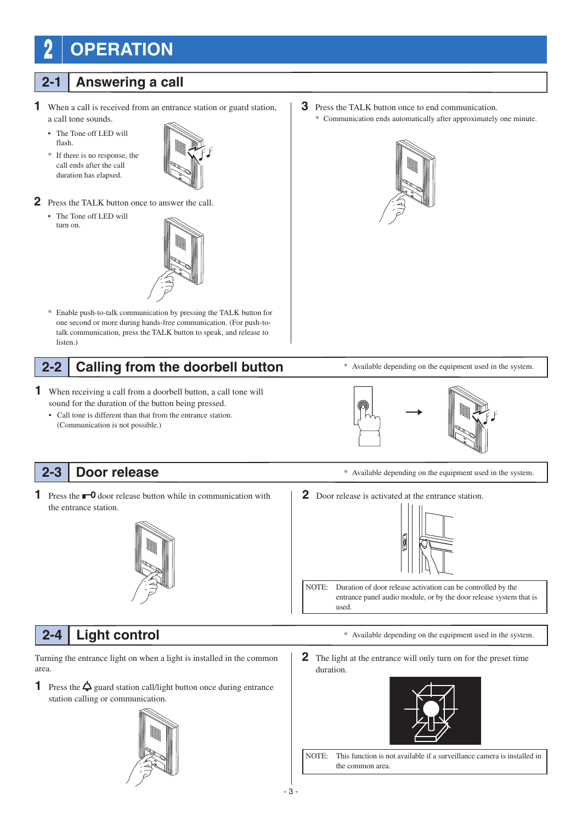# **2 OPERATION**

#### **2-1 Answering a call**

- **1** When a call is received from an entrance station or guard station, a call tone sounds.
	- The Tone off LED will flash.
	- \* If there is no response, the call ends after the call duration has elapsed.



- **2** Press the TALK button once to answer the call.
	- The Tone off LED will turn on.



\* Enable push-to-talk communication by pressing the TALK button for one second or more during hands-free communication. (For push-totalk communication, press the TALK button to speak, and release to listen.)

## **2-2 Calling from the doorbell button**

- **1** When receiving a call from a doorbell button, a call tone will sound for the duration of the button being pressed.
	- Call tone is different than that from the entrance station. (Communication is not possible.)

## **2-3 Door release**

**1** Press the  $\blacksquare$  **0** door release button while in communication with the entrance station.



**2** Door release is activated at the entrance station.



NOTE: Duration of door release activation can be controlled by the entrance panel audio module, or by the door release system that is used.

Turning the entrance light on when a light is installed in the common area.

**1** Press the  $\triangle$  guard station call/light button once during entrance station calling or communication.



**3** Press the TALK button once to end communication. \* Communication ends automatically after approximately one minute.





\* Available depending on the equipment used in the system.

- **2-4 Light control**  $\bullet$  **Available depending on the equipment used in the system.** 
	- **2** The light at the entrance will only turn on for the preset time duration.



NOTE: This function is not available if a surveillance camera is installed in the common area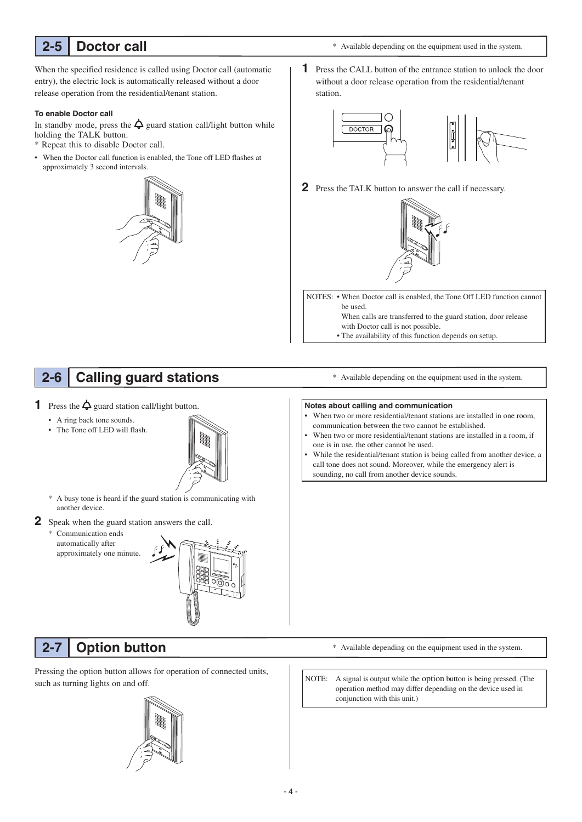### **2-5 Doctor call**

\* Available depending on the equipment used in the system.

When the specified residence is called using Doctor call (automatic entry), the electric lock is automatically released without a door release operation from the residential/tenant station.

#### **To enable Doctor call**

In standby mode, press the  $\Delta$  guard station call/light button while holding the TALK button.

- \* Repeat this to disable Doctor call.
- When the Doctor call function is enabled, the Tone off LED flashes at approximately 3 second intervals.



**1** Press the CALL button of the entrance station to unlock the door without a door release operation from the residential/tenant station.



**2** Press the TALK button to answer the call if necessary.



NOTES: • When Doctor call is enabled, the Tone Off LED function cannot be used.

> When calls are transferred to the guard station, door release with Doctor call is not possible.

• The availability of this function depends on setup.

## **2-6 Calling guard stations**

**1** Press the  $\Delta$  guard station call/light button.

- A ring back tone sounds.
- The Tone off LED will flash.



- \* A busy tone is heard if the guard station is communicating with another device.
- **2** Speak when the guard station answers the call.
	- \* Communication ends automatically after approximately one minute.



## **2-7 Option button**

Pressing the option button allows for operation of connected units, such as turning lights on and off.



\* Available depending on the equipment used in the system.

#### **Notes about calling and communication**

- When two or more residential/tenant stations are installed in one room, communication between the two cannot be established.
- When two or more residential/tenant stations are installed in a room, if one is in use, the other cannot be used.
- While the residential/tenant station is being called from another device, a call tone does not sound. Moreover, while the emergency alert is sounding, no call from another device sounds.

- \* Available depending on the equipment used in the system.
- NOTE: A signal is output while the option button is being pressed. (The operation method may differ depending on the device used in conjunction with this unit.)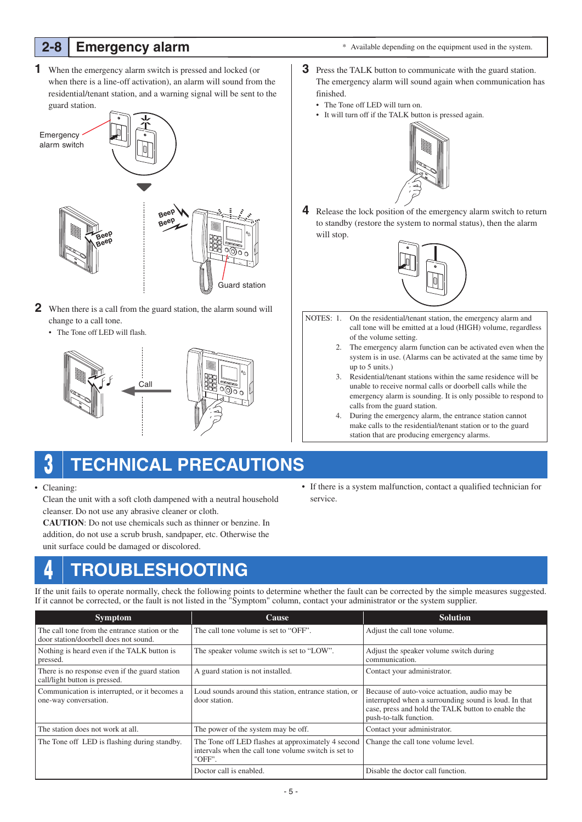### **2-8 Emergency alarm**

**1** When the emergency alarm switch is pressed and locked (or when there is a line-off activation), an alarm will sound from the residential/tenant station, and a warning signal will be sent to the guard station.



- **2** When there is a call from the guard station, the alarm sound will change to a call tone.
	- The Tone off LED will flash.





## **3 TECHNICAL PRECAUTIONS**

• Cleaning:

 Clean the unit with a soft cloth dampened with a neutral household cleanser. Do not use any abrasive cleaner or cloth.

**CAUTION**: Do not use chemicals such as thinner or benzine. In addition, do not use a scrub brush, sandpaper, etc. Otherwise the unit surface could be damaged or discolored.

#### • If there is a system malfunction, contact a qualified technician for service.

## **4 TROUBLESHOOTING**

If the unit fails to operate normally, check the following points to determine whether the fault can be corrected by the simple measures suggested. If it cannot be corrected, or the fault is not listed in the "Symptom" column, contact your administrator or the system supplier.

| <b>Symptom</b>                                                                          | <b>Cause</b>                                                                                                         | <b>Solution</b>                                                                                                                                                                         |
|-----------------------------------------------------------------------------------------|----------------------------------------------------------------------------------------------------------------------|-----------------------------------------------------------------------------------------------------------------------------------------------------------------------------------------|
| The call tone from the entrance station or the<br>door station/doorbell does not sound. | The call tone volume is set to "OFF".                                                                                | Adjust the call tone volume.                                                                                                                                                            |
| Nothing is heard even if the TALK button is<br>pressed.                                 | The speaker volume switch is set to "LOW".                                                                           | Adjust the speaker volume switch during<br>communication.                                                                                                                               |
| There is no response even if the guard station<br>call/light button is pressed.         | A guard station is not installed.                                                                                    | Contact your administrator.                                                                                                                                                             |
| Communication is interrupted, or it becomes a<br>one-way conversation.                  | Loud sounds around this station, entrance station, or<br>door station.                                               | Because of auto-voice actuation, audio may be.<br>interrupted when a surrounding sound is loud. In that<br>case, press and hold the TALK button to enable the<br>push-to-talk function. |
| The station does not work at all.                                                       | The power of the system may be off.                                                                                  | Contact your administrator.                                                                                                                                                             |
| The Tone off LED is flashing during standby.                                            | The Tone off LED flashes at approximately 4 second<br>intervals when the call tone volume switch is set to<br>"OFF". | Change the call tone volume level.                                                                                                                                                      |
|                                                                                         | Doctor call is enabled.                                                                                              | Disable the doctor call function.                                                                                                                                                       |

\* Available depending on the equipment used in the system.

- **3** Press the TALK button to communicate with the guard station. The emergency alarm will sound again when communication has finished.
	- The Tone off LED will turn on.
	- It will turn off if the TALK button is pressed again.



**4** Release the lock position of the emergency alarm switch to return to standby (restore the system to normal status), then the alarm will stop.



- NOTES: 1. On the residential/tenant station, the emergency alarm and call tone will be emitted at a loud (HIGH) volume, regardless of the volume setting.
	- 2. The emergency alarm function can be activated even when the system is in use. (Alarms can be activated at the same time by up to 5 units.)
	- 3. Residential/tenant stations within the same residence will be unable to receive normal calls or doorbell calls while the emergency alarm is sounding. It is only possible to respond to calls from the guard station.
	- 4. During the emergency alarm, the entrance station cannot make calls to the residential/tenant station or to the guard station that are producing emergency alarms.